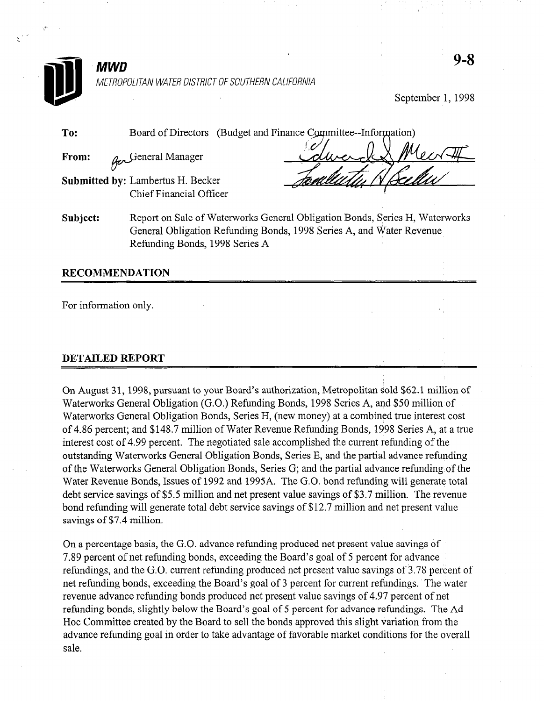

## $MWD$ METROPOLITAN WATER DISTRICT OF SOUTHERN CALIFORNIA

September 1, 1998

| To:      | Board of Directors                                                                                                                                  | (Budget and Finance Committee--Information) |  |
|----------|-----------------------------------------------------------------------------------------------------------------------------------------------------|---------------------------------------------|--|
| From:    | General Manager                                                                                                                                     |                                             |  |
|          | Submitted by: Lambertus H. Becker                                                                                                                   |                                             |  |
|          | Chief Financial Officer                                                                                                                             |                                             |  |
| Subject: | Report on Sale of Waterworks General Obligation Bonds, Series H, Waterworks<br>General Obligation Refunding Bonds, 1998 Series A, and Water Revenue |                                             |  |

Refunding Bonds, 1998 Series A

### RECOMMENDATION

For information only.

## DETAILED REPORT

On August 3 1, 1998, pursuant to your Board's authorization, Metropolitan sold \$62.1 million of On August 51, 1998, pursuant to your Board's authorization, ivicitopolitan sold \$62.11.11.11.11.11.11 Waterworks General Obligation (G.O.) Refunding Bonds, 1998 Series A, and \$50 million of Waterworks General Obligation Bonds, Series H, (new money) at a combined true interest cost of 4.86 percent; and \$148.7 million of Water Revenue Refunding Bonds, 1998 Series A, at a true interest cost of 4.99 percent. The negotiated sale accomplished the current refunding of the outstanding Waterworks General Obligation Bonds, Series E, and the partial advance refunding of the Waterworks General Obligation Bonds, Series G; and the partial advance refunding of the Water Revenue Bonds, Issues of 1992 and 1995A. The G.O. bond refunding will generate total debt service savings of \$5.5 million and net present value savings of \$3.7 million. The revenue bond refunding will generate total debt service savings of \$12.7 million and net present value savings of \$7.4 million.

On a percentage basis, the G.O. advance refunding produced net present value savings of 7.89 percent of net refunding bonds, exceeding the Board's goal of 5 percent for advance refunding bonds, and the G.O. current refunding produced net present value savings of 3.78 percent of net refunding bonds, exceeding the Board's goal of 3 percent for current refundings. The water revenue advance refunding bonds produced net present value savings of 4.97 percent of net refunding bonds, slightly below the Board's goal of 5 percent for advance refundings. The Ad Hoc Committee created by the Board to sell the bonds approved this slight variation from the advance refunding goal in order to take advantage of favorable market conditions for the overall sale.

On a percentage basis, the G.O. advance refunding produced net present value savings of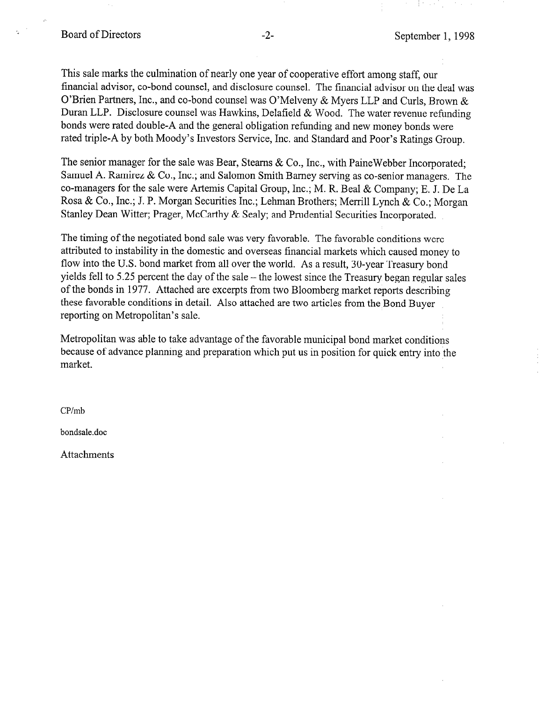This sale marks the culmination of nearly one year of cooperative effort among staff, our financial advisor, co-bond counsel, and disclosure counsel. The financial advisor on the deal was O'Brien Partners, Inc., and co-bond counsel was O'Melveny & Myers LLP and Curls, Brown & Duran LLP. Disclosure counsel was Hawkins, Delafield & Wood. The water revenue refunding bonds were rated double-A and the general obligation refunding and new money bonds were rated triple-A by both Moody's Investors Service, Inc. and Standard and Poor's Ratings Group.

The senior manager for the sale was Bear, Stearns & Co., Inc., with PaineWebber Incorporated; Samuel A. Ramirez & Co., Inc.; and Salomon Smith Barney serving as co-senior managers. The co-managers for the sale were Artemis Capital Group, Inc.; M. R. Beal & Company; E. J. De La Rosa & Co., Inc.; J. P. Morgan Securities Inc.; Lehman Brothers; Merrill Lynch & Co.; Morgan Stanley Dean Witter; Prager, McCarthy & Sealy; and Prudential Securities Incorporated.

The timing of the negotiated bond sale was very favorable. The favorable conditions were attributed to instability in the domestic and overseas financial markets which caused money to flow into the U.S. bond market from all over the world. As a result, 30-year Treasury bond yields fell to 5.25 percent the day of the sale  $-$  the lowest since the Treasury began regular sales of the bonds in 1977. Attached are excerpts from two Bloomberg market reports describing these favorable conditions in detail. Also attached are two articles from the Bond Buyer reporting on Metropolitan's sale.

Metropolitan was able to take advantage of the favorable municipal bond market conditions because of advance planning and preparation which put us in position for quick entry into the market.

CP/mb

bondsale.doc

Attachments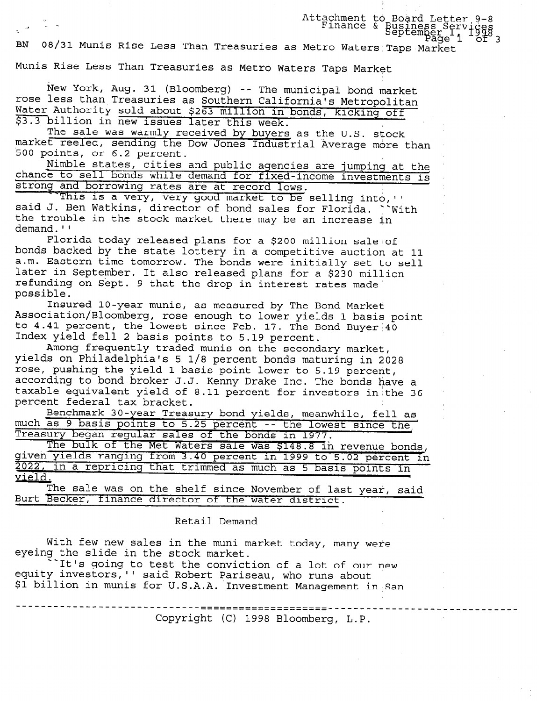BN 08/31 Munis Rise Less Than Treasuries as Metro Waters Taps Market

Munis Rise Less Than Treasuries as Metro Waters Taps Market

5. Attachment to  $\frac{1}{2}$  .  $\frac{1}{2}$  . The set of  $\frac{1}{2}$  is the set of  $\frac{1}{2}$  . The set of  $\frac{1}{2}$  finance  $\frac{1}{2}$ 

New York, Aug. 31 (Bloomberg) -- The municipal bond market rose less than Treasuries as Southern California's Metropolitan Water Authority sold about \$263 million in bonds, kicking off \$3.3 billion in new issues later this week.

The sale was warmly received by buyers as the U.S. stock market reeled, sending the Dow Jones Industrial Average more than 500 points, or 6.2 percent.

.<br>Nimble states, cities and public agencies are jumping at the chance to sell bonds while demand for fixed-income investments is strong and borrowing rates are at record lows.

This is a very, very good market to be selling into, " said J. Ben Watkins, director of bond sales for Florida. ``With the trouble in the stock market there may be an increase in demand.''

Florida today released plans for a \$200 million sale of bonds backed by the state lottery in a competitive auction at 11 a.m. Eastern time tomorrow. The bonds were initially set to sel later in September. It also released plans for a \$230 milli refunding on Sept. 9 that the drop in interest rates made possible.

---.<br>Insured 10-vear munis, as measured by The Bond Marke Association/Bloomberg, rose enough to lower yields 1 basis point to 4.41 percent, the lowest since Feb. 17. The Bond Buyer  $40$ Index yield fell 2 basis points to 5.19 percent.

Among frequently traded munis on the secondary market, yields on Philadelphia's 5 l/8 percent bonds maturing in 2028 rose, pushing the yield 1 basis point lower to 5.19 percent, according to bond broker J.J. Kenny Drake Inc. The bonds have a taxable equivalent yield of 8.11 percent for investors in the 36 percent federal tax bracket.

Benchmark 30-year Treasury bond yields, meanwhile, fell as much as 9 basis points to 5.25 percent -- the lowest since the Treasury began regular sales of the bonds in 1977.

ary began regular sales of the bonds in 1977.<br>The bulk of the Met Waters sale was \$148 8.3 revenue bonds given yields ranging tram 3.40 percent in 1999 to 5.02 percent in 1999 to 5.02 percent in 1999 to 5.02 percent 2022, in a repricing that trimmed as much as 5 basis points in  $\frac{4844}{1121}$ The sale was on the shelf since November of last year, said

Burt Becker, finance director or the water district.

Retail Demand

With few new sales in the muni market today, many were eyeing the slide in the stock market.

It's going to test the conviction of a lot of our new It s going to test the conviction of a lot of our part investors, it as about Pariseau, who runs also equity investors, Sald Robert Pariseau, who runs about

Copyright (C) 1998 Bloomberg, L.P.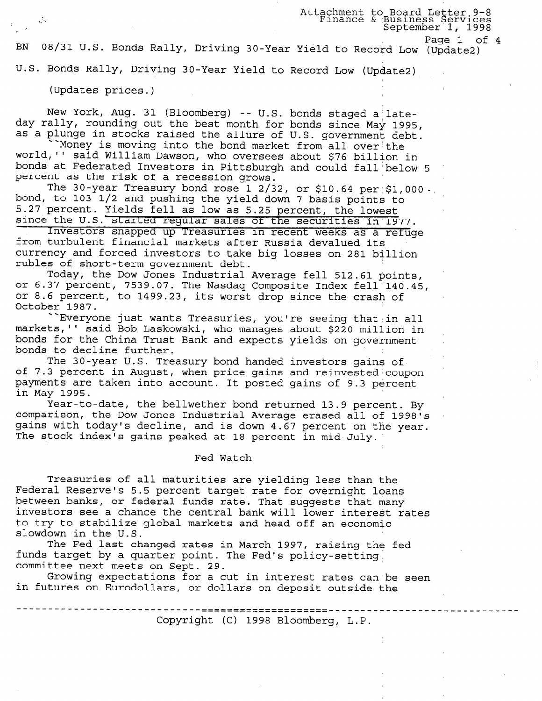Attachment to Board Letter 9-8 Legermient co board better? \_. I, September 1, 1998

Page 1 of 4

BN 08/31 U.S. Bonds Rally, Page 1 of Driving 30-Year Yield to Record Low (Updatea)

U.S. Bonds Rally, Driving 30-Year Yield to Record Low (Update2)

(Updates prices.)

New York, Aug. 31 (Bloomberg) -- U.S. bonds staged a lat day rally, rounding out the best month for bonds since May 1995 as a plunge in stocks raised the allure of U.S. government debt.

Money is moving into the bond market from all over the world,1' said William Dawson, who oversees about \$76 billion in bonds at Federated Investors in Pittsburgh and could fall'below 5 percent as the risk of a recession grows.

The 30-year Treasury bond rose 1 2/32, or \$10.64 per \$1,000. bond, to 103 l/2 and pushing the yield down 7 basis points to 5.27 percent. Yields fell as low as 5.25 percent, the lowest

S.2. Persons: Treasure 111 and the securities in 1977. from turbulent financial markets after Russia devalued its Investors snapped up Treasuries in recent weeks as a refuge currency and forced investors to take big losses on 281 billion rubles of short-term government debt.

Today, the Dow Jones Industrial Average fell 512.61 points, or 6.37 percent, 7539.07. The Nasdaq Composite Index fell'140.45, or 8.6 percent, to 1499.23, its worst drop since the crash of October 1987.

"Everyone just wants Treasuries, you're seeing that in all markets,'' said Bob Laskowski, who manages about \$220 million in bonds for the China Trust Bank and expects yields on government bonds to decline further.

The 30-year U.S. Treasury bond handed investors gains of of 7.3 percent in August, when price gains and reinvested coupon of 1.5 percent in August, when price gains and reinvested coup<br>payments are taken into account. It posted gains of 8.3 percent in May 1995.

Year-to-date, the bellwether bond returned 13.9 percent. By comparison, the Dow Jones Industrial Average erased all of 1998's gains with today's decline, and is down 4.67 percent on the year. The stock index's gains peaked at 18 percent in mid-July.

### Fed Watch

Treasuries of all maturities are yielding less than the Federal Reserves's 5.5 percent target rate for our state rate for over 1.1.1 between banks, or federal funds rate. That suggests that many between banks, or rederar runds rate. Inat suggests that many investors see a chance the central bank will lower interest rates to try to stabilize global markets and head off an economic slowdown in the U.S. The Fed last changed rates in March 1997, raising the fed

funds target by a quarter point. The Fed 1851.<br>funds target by a quarter point. The Fedis policy funds target by a quarter point. The Fed's policy-setting. committee next meets on Sept. 29.

Growing expectations for a cut in interest rates can be seen<br>in futures on Eurodollars, or dollars on deposit outside the

Copyright (C) 1998 Bloomberg, L.P.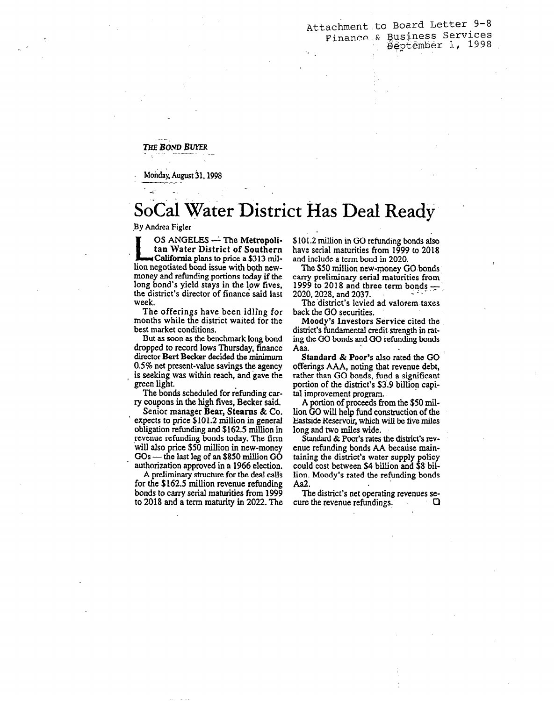Attachment to Board Letter 9-8 Finance & gusiness Services 8&pt@mk%r 1, 1998 -.

THE BOND BUYER

Monday, August 31, 1998

## SoCal Water District Has Deal Ready

.

By Andrea Figler

OS ANGELES — The Metropoli<br>
tan Water District of Souther.<br>
California plans to price a \$313 mil tan Water District of Southern lion negotiated bond issue with both newmoney and refunding portions today if the long bond's yield stays in the low fives, the district's director of finance' said last week.

The offerings have been idling for months while the district waited for the best market conditions.

But as soon as the benchmark long bond dropped to record lows Thursday, finance director Bert Becker decided the minimum 0.5% net present-value savings the agency is seeking was within reach, and gave the green light.

The bonds scheduled for refunding carry coupons in the high fives, Becker said.

Senior manager Bear, Stearns & Co. expects to price \$101.2 million in general obligation refunding and \$162.5 million in revenue refunding bonds today. The firm will also price \$50 million in new-money  $GOs$  - the last leg of an \$850 million  $GO$ authorization approved in a 1966 election.

A preliminary structure for the deal calIS for the \$162.5 million revenue refunding bonds to carry serial maturities from 1999 to 2018 and a term maturity in 2022. The

\$101.2 million in GO refunding bonds also have serial maturities from 1999 to 2018 and include a term bond in 2020.

The \$50 million new-money GO bonds carry preliminary serial maturities from 1999 to 2018 and three term bonds  $-$ <br>2020, 2028, and 2037. 2020, 2028, and 2037.<br>The district's levied ad valorem taxes

back the GO securities.

Moody's Investors Service cited the district's fundamental credit strength in rating the GO bonds and GO refunding bonds Aaa.

Standard & Poor's also rated the GO offerings AA&, noting that revenue debt, rather than GO bonds, fund a significant portion of the district's \$3.9 billion capital improvement program.

A portion of proceeds from the \$50 million GO will help fund construction of the Eastside Reservoir, which will be five miles long and two miles wide.

Standard & Poor's rates the district's revenue refunding bonds AA because maintaining the district's water supply policy could cost between \$4 billion and \$8 billion. Moody's rated the refunding bonds Aa2.

The district's net operating revenues sezuo oisuici s noi operaang revenues se-